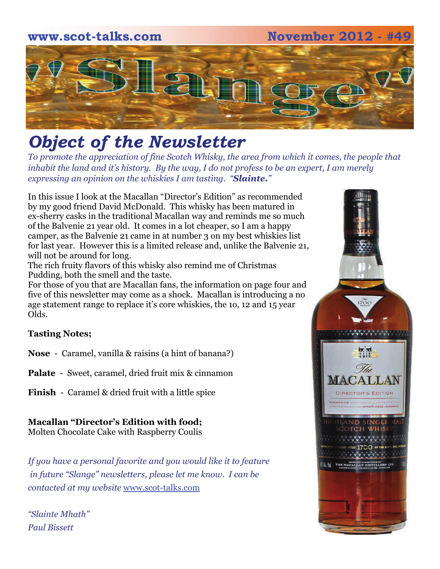### **www.scot-talks.com November 2012 - #49**



## *Object of the Newsletter*

*To promote the appreciation of fine Scotch Whisky, the area from which it comes, the people that inhabit the land and it's history. By the way, I do not profess to be an expert, I am merely expressing an opinion on the whiskies I am tasting. "Slainte."* 

In this issue I look at the Macallan "Director's Edition" as recommended by my good friend David McDonald. This whisky has been matured in ex-sherry casks in the traditional Macallan way and reminds me so much of the Balvenie 21 year old. It comes in a lot cheaper, so I am a happy camper, as the Balvenie 21 came in at number 3 on my best whiskies list for last year. However this is a limited release and, unlike the Balvenie 21, will not be around for long.

The rich fruity flavors of this whisky also remind me of Christmas Pudding, both the smell and the taste.

For those of you that are Macallan fans, the information on page four and five of this newsletter may come as a shock. Macallan is introducing a no age statement range to replace it's core whiskies, the 1o, 12 and 15 year Olds.

### **Tasting Notes;**

**Nose** - Caramel, vanilla & raisins (a hint of banana?)

**Palate** - Sweet, caramel, dried fruit mix & cinnamon

**Finish** - Caramel & dried fruit with a little spice

**Macallan "Director's Edition with food;**  Molten Chocolate Cake with Raspberry Coulis

*If you have a personal favorite and you would like it to feature in future "Slange" newsletters, please let me know. I can be contacted at my website* www.scot-talks.com

*"Slainte Mhath" Paul Bissett*

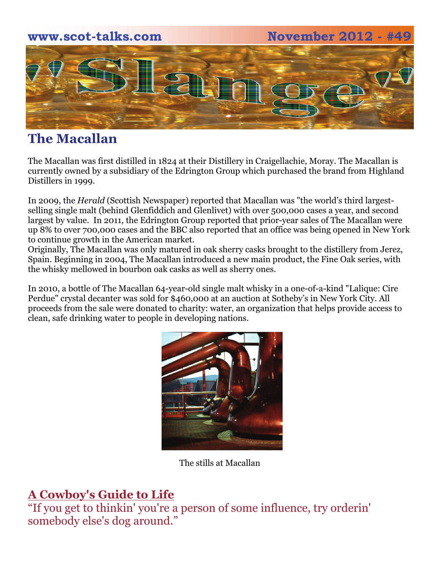# **www.scot-talks.com November 2012 - #49 ELEM**

### **The Macallan**

The Macallan was first distilled in 1824 at their Distillery in Craigellachie, Moray. The Macallan is currently owned by a subsidiary of the Edrington Group which purchased the brand from Highland Distillers in 1999.

In 2009, the *Herald* (Scottish Newspaper) reported that Macallan was "the world's third largestselling single malt (behind Glenfiddich and Glenlivet) with over 500,000 cases a year, and second largest by value. In 2011, the Edrington Group reported that prior-year sales of The Macallan were up 8% to over 700,000 cases and the BBC also reported that an office was being opened in New York to continue growth in the American market.

Originally, The Macallan was only matured in oak sherry casks brought to the distillery from Jerez, Spain. Beginning in 2004, The Macallan introduced a new main product, the Fine Oak series, with the whisky mellowed in bourbon oak casks as well as sherry ones.

In 2010, a bottle of The Macallan 64-year-old single malt whisky in a one-of-a-kind "Lalique: Cire Perdue" crystal decanter was sold for \$460,000 at an auction at Sotheby's in New York City. All proceeds from the sale were donated to charity: water, an organization that helps provide access to clean, safe drinking water to people in developing nations.



The stills at Macallan

### **A Cowboy's Guide to Life**

"If you get to thinkin' you're a person of some influence, try orderin' somebody else's dog around."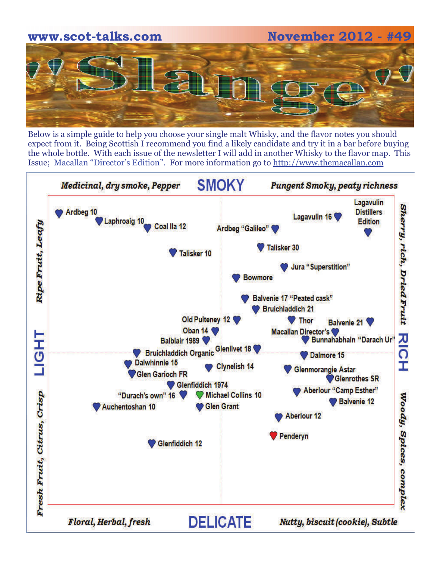

Below is a simple guide to help you choose your single malt Whisky, and the flavor notes you should expect from it. Being Scottish I recommend you find a likely candidate and try it in a bar before buying the whole bottle. With each issue of the newsletter I will add in another Whisky to the flavor map. This Issue; Macallan "Director's Edition". For more information go to http://www.themacallan.com

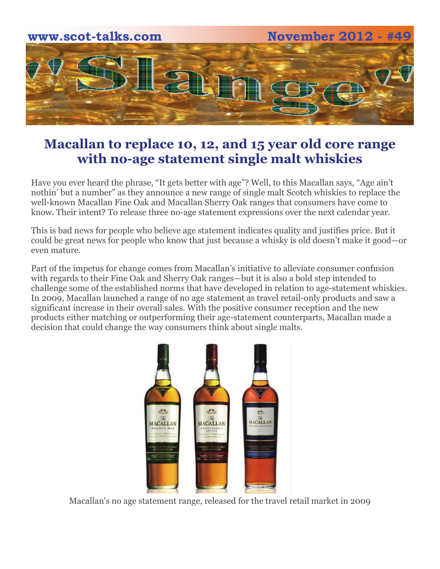

### **Macallan to replace 10, 12, and 15 year old core range with no-age statement single malt whiskies**

Have you ever heard the phrase, "It gets better with age"? Well, to this Macallan says, "Age ain't nothin' but a number" as they announce a new range of single malt Scotch whiskies to replace the well-known Macallan Fine Oak and Macallan Sherry Oak ranges that consumers have come to know. Their intent? To release three no-age statement expressions over the next calendar year.

This is bad news for people who believe age statement indicates quality and justifies price. But it could be great news for people who know that just because a whisky is old doesn't make it good—or even mature.

Part of the impetus for change comes from Macallan's initiative to alleviate consumer confusion with regards to their Fine Oak and Sherry Oak ranges—but it is also a bold step intended to challenge some of the established norms that have developed in relation to age-statement whiskies. In 2009, Macallan launched a range of no age statement as travel retail-only products and saw a significant increase in their overall sales. With the positive consumer reception and the new products either matching or outperforming their age-statement counterparts, Macallan made a decision that could change the way consumers think about single malts.



Macallan's no age statement range, released for the travel retail market in 2009